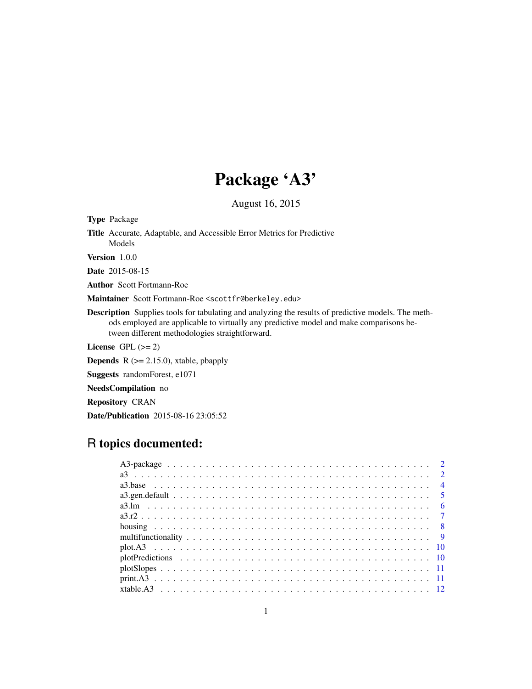## Package 'A3'

August 16, 2015

<span id="page-0-0"></span>Type Package

Title Accurate, Adaptable, and Accessible Error Metrics for Predictive Models

Version 1.0.0

Date 2015-08-15

Author Scott Fortmann-Roe

Maintainer Scott Fortmann-Roe <scottfr@berkeley.edu>

Description Supplies tools for tabulating and analyzing the results of predictive models. The methods employed are applicable to virtually any predictive model and make comparisons between different methodologies straightforward.

License GPL  $(>= 2)$ 

**Depends**  $R$  ( $>= 2.15.0$ ), xtable, pbapply

Suggests randomForest, e1071

NeedsCompilation no

Repository CRAN

Date/Publication 2015-08-16 23:05:52

## R topics documented: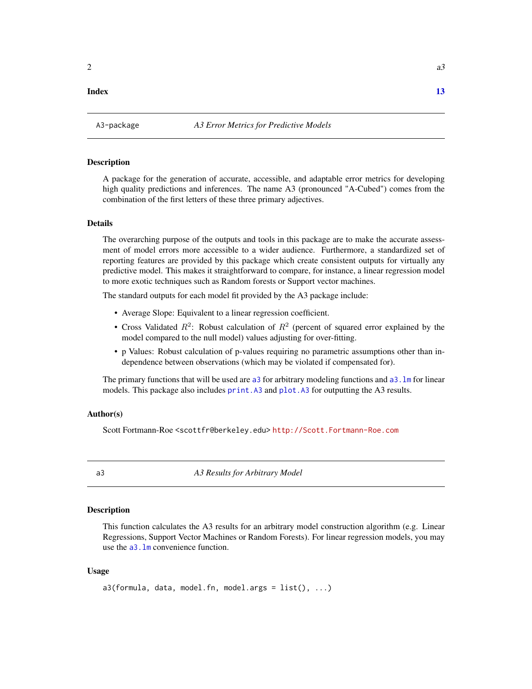#### <span id="page-1-0"></span>**Index** [13](#page-12-0)

#### Description

A package for the generation of accurate, accessible, and adaptable error metrics for developing high quality predictions and inferences. The name A3 (pronounced "A-Cubed") comes from the combination of the first letters of these three primary adjectives.

#### Details

The overarching purpose of the outputs and tools in this package are to make the accurate assessment of model errors more accessible to a wider audience. Furthermore, a standardized set of reporting features are provided by this package which create consistent outputs for virtually any predictive model. This makes it straightforward to compare, for instance, a linear regression model to more exotic techniques such as Random forests or Support vector machines.

The standard outputs for each model fit provided by the A3 package include:

- Average Slope: Equivalent to a linear regression coefficient.
- Cross Validated  $R^2$ : Robust calculation of  $R^2$  (percent of squared error explained by the model compared to the null model) values adjusting for over-fitting.
- p Values: Robust calculation of p-values requiring no parametric assumptions other than independence between observations (which may be violated if compensated for).

The primary functions that will be used are [a3](#page-1-1) for arbitrary modeling functions and  $a3$ . Im for linear models. This package also includes [print.A3](#page-10-1) and [plot.A3](#page-9-1) for outputting the A3 results.

#### Author(s)

Scott Fortmann-Roe <scottfr@berkeley.edu> <http://Scott.Fortmann-Roe.com>

<span id="page-1-1"></span>

a3 *A3 Results for Arbitrary Model*

#### **Description**

This function calculates the A3 results for an arbitrary model construction algorithm (e.g. Linear Regressions, Support Vector Machines or Random Forests). For linear regression models, you may use the a<sub>3</sub>. In convenience function.

#### Usage

```
a3(formula, data, model.fn, model.args = list(), ...)
```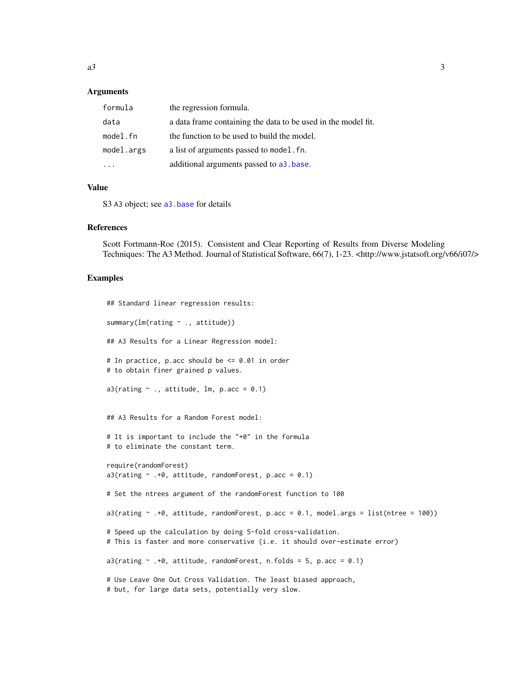#### <span id="page-2-0"></span>**Arguments**

| formula    | the regression formula.                                       |
|------------|---------------------------------------------------------------|
| data       | a data frame containing the data to be used in the model fit. |
| model.fn   | the function to be used to build the model.                   |
| model.args | a list of arguments passed to model. fn.                      |
|            | additional arguments passed to a <sub>3</sub> . base.         |

#### Value

S3 A3 object; see [a3.base](#page-3-1) for details

#### References

Scott Fortmann-Roe (2015). Consistent and Clear Reporting of Results from Diverse Modeling Techniques: The A3 Method. Journal of Statistical Software, 66(7), 1-23. <http://www.jstatsoft.org/v66/i07/>

#### Examples

```
## Standard linear regression results:
summary(lm(rating ~ ., attitude))
## A3 Results for a Linear Regression model:
# In practice, p.acc should be <= 0.01 in order
# to obtain finer grained p values.
a3(rating ~ ., attitude, Im, p.acc = 0.1)## A3 Results for a Random Forest model:
# It is important to include the "+0" in the formula
# to eliminate the constant term.
require(randomForest)
a3(rating \sim .+0, attitude, randomForest, p.acc = 0.1)
# Set the ntrees argument of the randomForest function to 100
a3(rating \sim .+0, attitude, randomForest, p.acc = 0.1, model.args = list(ntree = 100))
# Speed up the calculation by doing 5-fold cross-validation.
# This is faster and more conservative (i.e. it should over-estimate error)
a3(rating \sim .+0, attitude, randomForest, n.folds = 5, p.acc = 0.1)
# Use Leave One Out Cross Validation. The least biased approach,
# but, for large data sets, potentially very slow.
```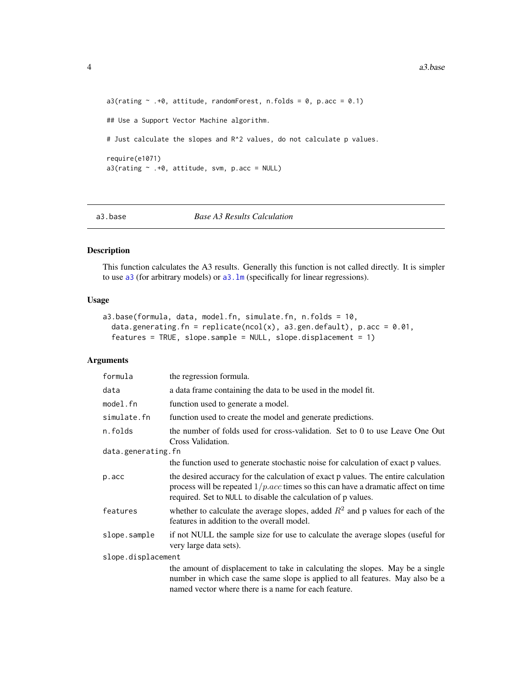```
a3(rating \sim .+0, attitude, randomForest, n.folds = 0, p.acc = 0.1)
## Use a Support Vector Machine algorithm.
# Just calculate the slopes and R^2 values, do not calculate p values.
require(e1071)
a3(rating ~ .+0, attitude, sym, p.acc = NULL)
```

```
a3.base Base A3 Results Calculation
```
## Description

This function calculates the A3 results. Generally this function is not called directly. It is simpler to use [a3](#page-1-1) (for arbitrary models) or [a3.lm](#page-5-1) (specifically for linear regressions).

## Usage

```
a3.base(formula, data, model.fn, simulate.fn, n.folds = 10,
  data.generating.fn = replicate(ncol(x), a3.gen.default), p.acc = 0.01,
  features = TRUE, slope.sample = NULL, slope.displacement = 1)
```
## Arguments

| formula            | the regression formula.                                                                                                                                                                                                                             |  |  |  |  |  |
|--------------------|-----------------------------------------------------------------------------------------------------------------------------------------------------------------------------------------------------------------------------------------------------|--|--|--|--|--|
| data               | a data frame containing the data to be used in the model fit.                                                                                                                                                                                       |  |  |  |  |  |
| model.fn           | function used to generate a model.                                                                                                                                                                                                                  |  |  |  |  |  |
| simulate.fn        | function used to create the model and generate predictions.                                                                                                                                                                                         |  |  |  |  |  |
| n.folds            | the number of folds used for cross-validation. Set to 0 to use Leave One Out<br>Cross Validation.                                                                                                                                                   |  |  |  |  |  |
|                    | data.generating.fn                                                                                                                                                                                                                                  |  |  |  |  |  |
|                    | the function used to generate stochastic noise for calculation of exact p values.                                                                                                                                                                   |  |  |  |  |  |
| p.acc              | the desired accuracy for the calculation of exact p values. The entire calculation<br>process will be repeated $1/p$ . <i>acc</i> times so this can have a dramatic affect on time<br>required. Set to NULL to disable the calculation of p values. |  |  |  |  |  |
| features           | whether to calculate the average slopes, added $R^2$ and p values for each of the<br>features in addition to the overall model.                                                                                                                     |  |  |  |  |  |
| slope.sample       | if not NULL the sample size for use to calculate the average slopes (useful for<br>very large data sets).                                                                                                                                           |  |  |  |  |  |
| slope.displacement |                                                                                                                                                                                                                                                     |  |  |  |  |  |
|                    | the amount of displacement to take in calculating the slopes. May be a single<br>number in which case the same slope is applied to all features. May also be a<br>named vector where there is a name for each feature.                              |  |  |  |  |  |

<span id="page-3-0"></span>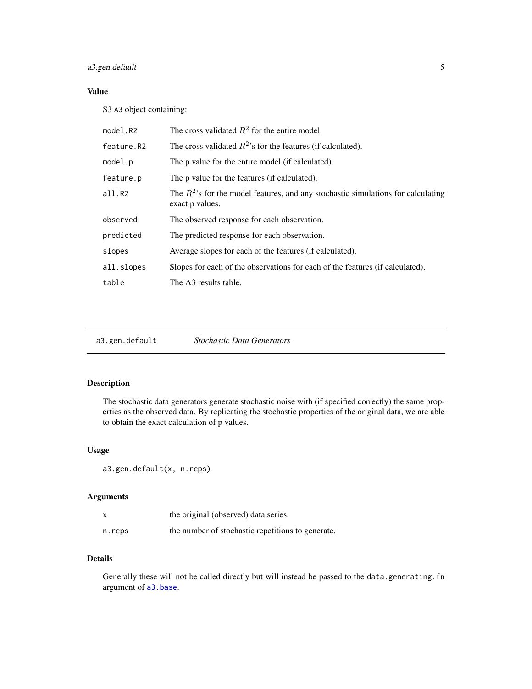## <span id="page-4-0"></span>a3.gen.default 5

## Value

S3 A3 object containing:

| model.R2   | The cross validated $R^2$ for the entire model.                                                        |
|------------|--------------------------------------------------------------------------------------------------------|
| feature.R2 | The cross validated $R^2$ 's for the features (if calculated).                                         |
| model.p    | The p value for the entire model (if calculated).                                                      |
| feature.p  | The p value for the features (if calculated).                                                          |
| all.R2     | The $R^2$ 's for the model features, and any stochastic simulations for calculating<br>exact p values. |
| observed   | The observed response for each observation.                                                            |
| predicted  | The predicted response for each observation.                                                           |
| slopes     | Average slopes for each of the features (if calculated).                                               |
| all.slopes | Slopes for each of the observations for each of the features (if calculated).                          |
| table      | The A3 results table.                                                                                  |

a3.gen.default *Stochastic Data Generators*

## Description

The stochastic data generators generate stochastic noise with (if specified correctly) the same properties as the observed data. By replicating the stochastic properties of the original data, we are able to obtain the exact calculation of p values.

#### Usage

```
a3.gen.default(x, n.reps)
```
## Arguments

|        | the original (observed) data series.              |
|--------|---------------------------------------------------|
| n.reps | the number of stochastic repetitions to generate. |

## Details

Generally these will not be called directly but will instead be passed to the data.generating.fn argument of [a3.base](#page-3-1).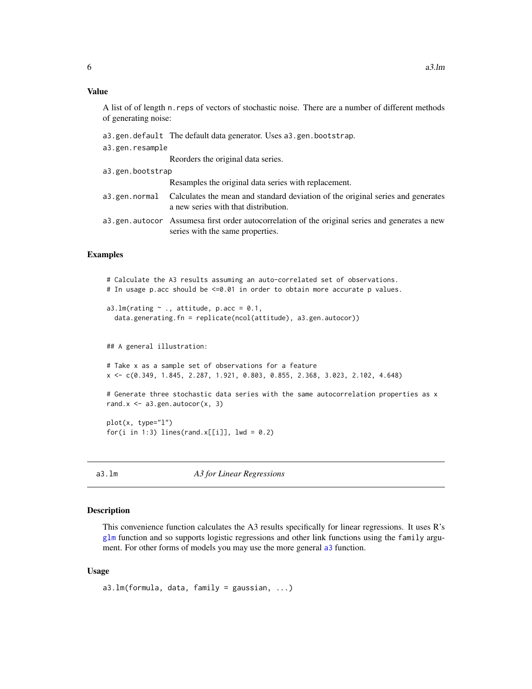#### <span id="page-5-0"></span>Value

A list of of length n.reps of vectors of stochastic noise. There are a number of different methods of generating noise:

- a3.gen.default The default data generator. Uses a3.gen.bootstrap.
- a3.gen.resample

Reorders the original data series.

a3.gen.bootstrap Resamples the original data series with replacement. a3.gen.normal Calculates the mean and standard deviation of the original series and generates a new series with that distribution. a3.gen.autocor Assumesa first order autocorrelation of the original series and generates a new series with the same properties.

#### Examples

```
# Calculate the A3 results assuming an auto-correlated set of observations.
# In usage p.acc should be <=0.01 in order to obtain more accurate p values.
a3.lm(rating \sim ., attitude, p.acc = 0.1,
 data.generating.fn = replicate(ncol(attitude), a3.gen.autocor))
## A general illustration:
# Take x as a sample set of observations for a feature
x <- c(0.349, 1.845, 2.287, 1.921, 0.803, 0.855, 2.368, 3.023, 2.102, 4.648)
# Generate three stochastic data series with the same autocorrelation properties as x
rand.x \leq -a3.gen.autocor(x, 3)
plot(x, type="l")
for(i in 1:3) lines(rand.x[[i]], 1wd = 0.2)
```
a3.lm *A3 for Linear Regressions*

#### Description

This convenience function calculates the A3 results specifically for linear regressions. It uses R's [glm](#page-0-0) function and so supports logistic regressions and other link functions using the family argument. For other forms of models you may use the more general [a3](#page-1-1) function.

#### Usage

```
a3.lm(formula, data, family = gaussian, ...)
```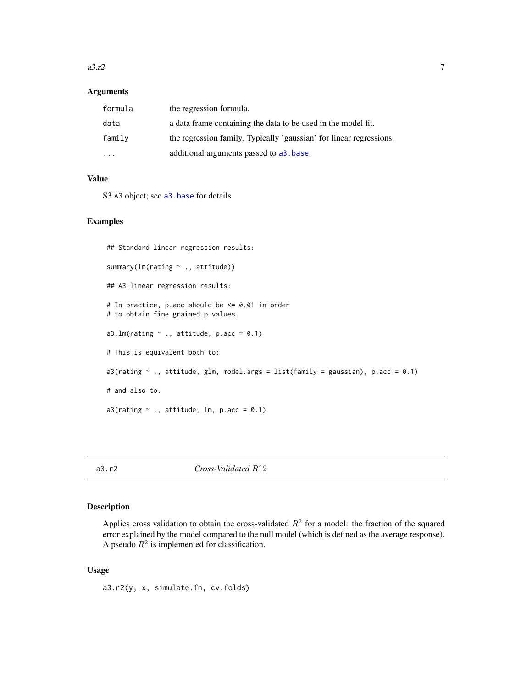#### <span id="page-6-0"></span> $a3.r2$  7

## Arguments

| formula | the regression formula.                                             |
|---------|---------------------------------------------------------------------|
| data    | a data frame containing the data to be used in the model fit.       |
| family  | the regression family. Typically 'gaussian' for linear regressions. |
| $\cdot$ | additional arguments passed to a <sub>3</sub> base.                 |

### Value

S3 A3 object; see [a3.base](#page-3-1) for details

## Examples

```
## Standard linear regression results:
summary(lm(rating \sim ., attitude))
## A3 linear regression results:
# In practice, p.acc should be <= 0.01 in order
# to obtain fine grained p values.
a3.lm(rating \sim ., attitude, p.acc = 0.1)
# This is equivalent both to:
a3(rating \sim ., attitude, glm, model.args = list(family = gaussian), p.acc = 0.1)
# and also to:
a3(rating \sim ., attitude, lm, p.acc = 0.1)
```
a3.r2 *Cross-Validated* Rˆ2

## Description

Applies cross validation to obtain the cross-validated  $R^2$  for a model: the fraction of the squared error explained by the model compared to the null model (which is defined as the average response). A pseudo  $R^2$  is implemented for classification.

## Usage

a3.r2(y, x, simulate.fn, cv.folds)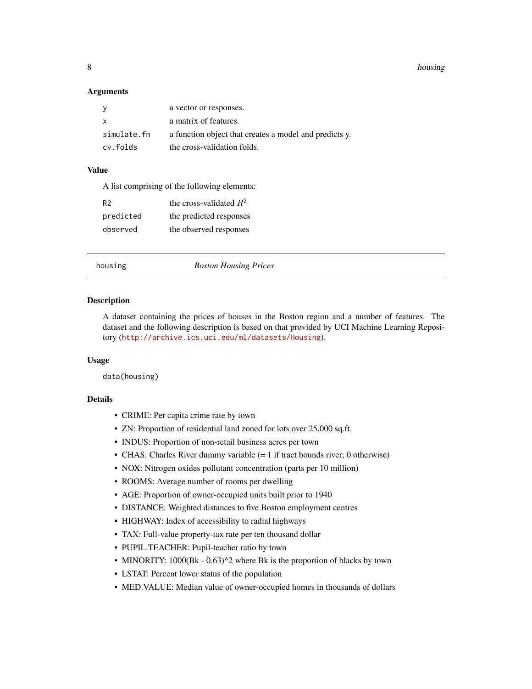<span id="page-7-0"></span>8 housing the contract of the contract of the contract of the contract of the contract of the contract of the contract of the contract of the contract of the contract of the contract of the contract of the contract of the

#### **Arguments**

| <b>y</b>     | a vector or responses.                                 |
|--------------|--------------------------------------------------------|
| $\mathsf{x}$ | a matrix of features.                                  |
| simulate.fn  | a function object that creates a model and predicts y. |
| cv.folds     | the cross-validation folds.                            |

#### Value

| A list comprising of the following elements: |
|----------------------------------------------|
| the cross-validated $R^2$                    |
| the predicted responses                      |
| the observed responses                       |
|                                              |

#### housing *Boston Housing Prices*

#### Description

A dataset containing the prices of houses in the Boston region and a number of features. The dataset and the following description is based on that provided by UCI Machine Learning Repository (<http://archive.ics.uci.edu/ml/datasets/Housing>).

#### Usage

data(housing)

#### Details

- CRIME: Per capita crime rate by town
- ZN: Proportion of residential land zoned for lots over 25,000 sq.ft.
- INDUS: Proportion of non-retail business acres per town
- CHAS: Charles River dummy variable (= 1 if tract bounds river; 0 otherwise)
- NOX: Nitrogen oxides pollutant concentration (parts per 10 million)
- ROOMS: Average number of rooms per dwelling
- AGE: Proportion of owner-occupied units built prior to 1940
- DISTANCE: Weighted distances to five Boston employment centres
- HIGHWAY: Index of accessibility to radial highways
- TAX: Full-value property-tax rate per ten thousand dollar
- PUPIL.TEACHER: Pupil-teacher ratio by town
- MINORITY: 1000(Bk 0.63)^2 where Bk is the proportion of blacks by town
- LSTAT: Percent lower status of the population
- MED.VALUE: Median value of owner-occupied homes in thousands of dollars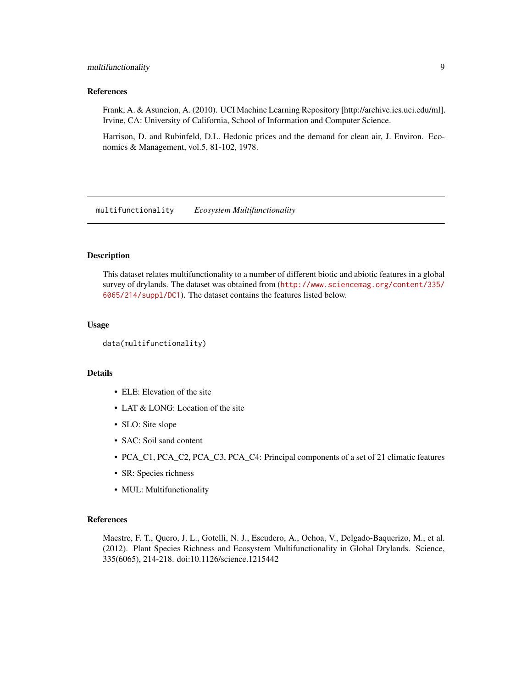## <span id="page-8-0"></span>multifunctionality 9

#### References

Frank, A. & Asuncion, A. (2010). UCI Machine Learning Repository [http://archive.ics.uci.edu/ml]. Irvine, CA: University of California, School of Information and Computer Science.

Harrison, D. and Rubinfeld, D.L. Hedonic prices and the demand for clean air, J. Environ. Economics & Management, vol.5, 81-102, 1978.

multifunctionality *Ecosystem Multifunctionality*

#### Description

This dataset relates multifunctionality to a number of different biotic and abiotic features in a global survey of drylands. The dataset was obtained from ([http://www.sciencemag.org/content/335/](http://www.sciencemag.org/content/335/6065/214/suppl/DC1) [6065/214/suppl/DC1](http://www.sciencemag.org/content/335/6065/214/suppl/DC1)). The dataset contains the features listed below.

#### Usage

```
data(multifunctionality)
```
## Details

- ELE: Elevation of the site
- LAT & LONG: Location of the site
- SLO: Site slope
- SAC: Soil sand content
- PCA\_C1, PCA\_C2, PCA\_C3, PCA\_C4: Principal components of a set of 21 climatic features
- SR: Species richness
- MUL: Multifunctionality

#### References

Maestre, F. T., Quero, J. L., Gotelli, N. J., Escudero, A., Ochoa, V., Delgado-Baquerizo, M., et al. (2012). Plant Species Richness and Ecosystem Multifunctionality in Global Drylands. Science, 335(6065), 214-218. doi:10.1126/science.1215442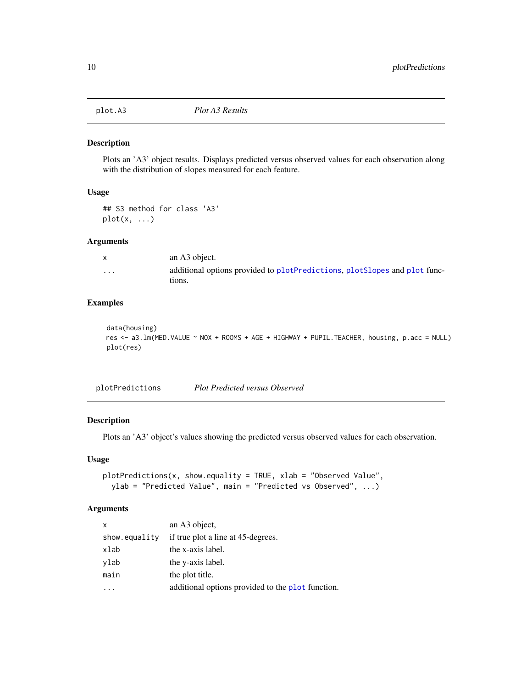<span id="page-9-1"></span><span id="page-9-0"></span>

#### Description

Plots an 'A3' object results. Displays predicted versus observed values for each observation along with the distribution of slopes measured for each feature.

## Usage

## S3 method for class 'A3' plot(x, ...)

#### Arguments

| X        | an A3 object.                                                                         |
|----------|---------------------------------------------------------------------------------------|
| $\cdots$ | additional options provided to plot Predictions, plot Slopes and plot func-<br>tions. |

## Examples

```
data(housing)
res <- a3.lm(MED.VALUE ~ NOX + ROOMS + AGE + HIGHWAY + PUPIL.TEACHER, housing, p.acc = NULL)
plot(res)
```
<span id="page-9-2"></span>plotPredictions *Plot Predicted versus Observed*

## Description

Plots an 'A3' object's values showing the predicted versus observed values for each observation.

## Usage

```
plotPredictions(x, show.equality = TRUE, xlab = "Observed Value",
 ylab = "Predicted Value", main = "Predicted vs Observed", ...)
```
## Arguments

| an A3 object,                                     |
|---------------------------------------------------|
| if true plot a line at 45-degrees.                |
| the x-axis label.                                 |
| the y-axis label.                                 |
| the plot title.                                   |
| additional options provided to the plot function. |
|                                                   |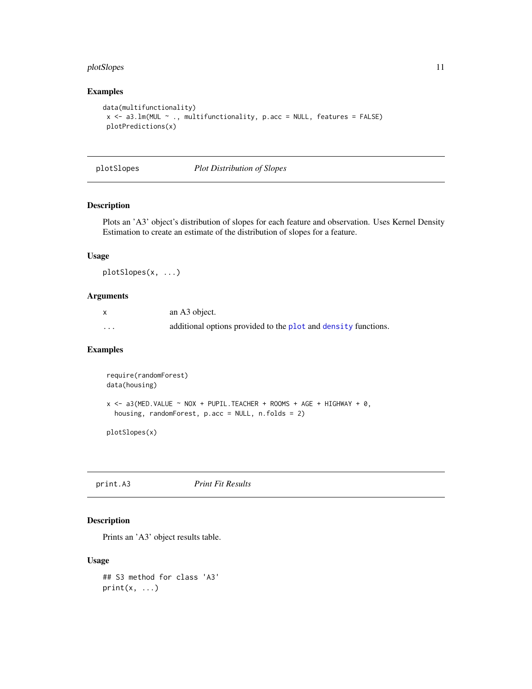## <span id="page-10-0"></span>plotSlopes 11

## Examples

```
data(multifunctionality)
x \leq -a3. Im(MUL \sim ., multifunctionality, p.acc = NULL, features = FALSE)
plotPredictions(x)
```
<span id="page-10-2"></span>plotSlopes *Plot Distribution of Slopes*

## Description

Plots an 'A3' object's distribution of slopes for each feature and observation. Uses Kernel Density Estimation to create an estimate of the distribution of slopes for a feature.

## Usage

plotSlopes(x, ...)

## Arguments

|          | an A3 object.                                                  |
|----------|----------------------------------------------------------------|
| $\cdots$ | additional options provided to the plot and density functions. |

## Examples

```
require(randomForest)
data(housing)
x <- a3(MED. VALUE ~ NOX + PUPIL. TEACHER + ROOMS + AGE + HIGHWAY + 0,
 housing, randomForest, p.acc = NULL, n.folds = 2)
```
plotSlopes(x)

<span id="page-10-1"></span>print.A3 *Print Fit Results*

#### Description

Prints an 'A3' object results table.

## Usage

```
## S3 method for class 'A3'
print(x, \ldots)
```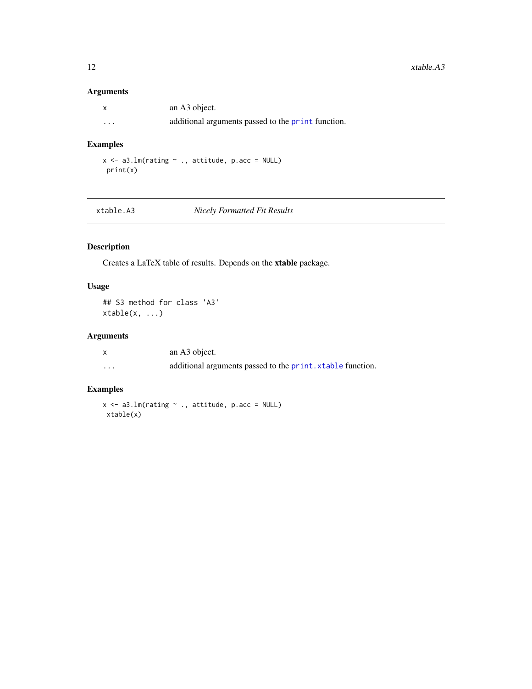## <span id="page-11-0"></span>Arguments

|          | an A3 object.                                      |
|----------|----------------------------------------------------|
| $\cdots$ | additional arguments passed to the print function. |

## Examples

 $x \leq -a3.\text{lm}(\text{rating} \sim ., \text{ attitude}, \text{p}.\text{acc} = \text{NULL})$ print(x)

## $Nicely$  *Formatted Fit Results*

## Description

Creates a LaTeX table of results. Depends on the xtable package.

## Usage

## S3 method for class 'A3' xtable(x, ...)

## Arguments

|          | an A3 object.                                                      |
|----------|--------------------------------------------------------------------|
| $\cdots$ | additional arguments passed to the <b>print</b> . xtable function. |

## Examples

```
x \le -a3.lm(rating \sim ., attitude, p.acc = NULL)
xtable(x)
```